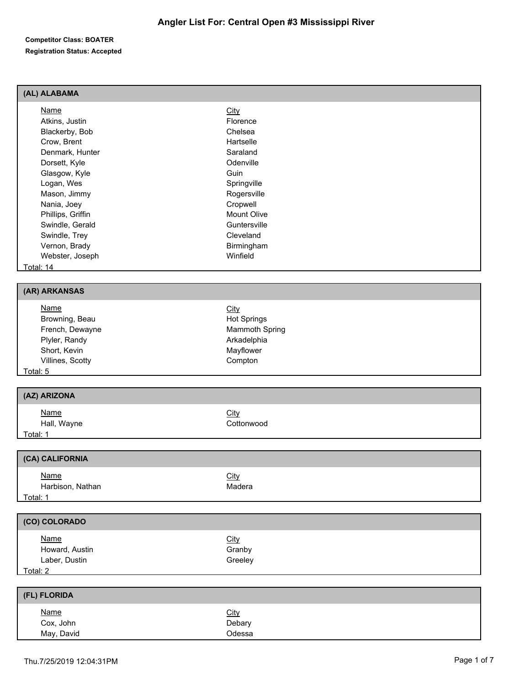#### **Competitor Class: BOATER Registration Status: Accepted**

## **(AL) ALABAMA**

| <b>Name</b>       | <b>City</b>        |  |
|-------------------|--------------------|--|
| Atkins, Justin    | Florence           |  |
| Blackerby, Bob    | Chelsea            |  |
| Crow, Brent       | Hartselle          |  |
| Denmark, Hunter   | Saraland           |  |
| Dorsett, Kyle     | Odenville          |  |
| Glasgow, Kyle     | Guin               |  |
| Logan, Wes        | Springville        |  |
| Mason, Jimmy      | Rogersville        |  |
| Nania, Joey       | Cropwell           |  |
| Phillips, Griffin | <b>Mount Olive</b> |  |
| Swindle, Gerald   | Guntersville       |  |
| Swindle, Trey     | Cleveland          |  |
| Vernon, Brady     | Birmingham         |  |
| Webster, Joseph   | Winfield           |  |
| Total: 14         |                    |  |

#### **(AR) ARKANSAS**

| <b>Name</b>      | <u>City</u>        |  |
|------------------|--------------------|--|
| Browning, Beau   | <b>Hot Springs</b> |  |
| French, Dewayne  | Mammoth Spring     |  |
| Plyler, Randy    | Arkadelphia        |  |
| Short, Kevin     | Mayflower          |  |
| Villines, Scotty | Compton            |  |
| Total: 5         |                    |  |

#### **(AZ) ARIZONA**

| <b>Name</b> | <b>City</b> |
|-------------|-------------|
| Hall, Wayne | `ottonwood  |
| Total:      |             |

# **(CA) CALIFORNIA** Name City Harbison, Nathan Madera Total: 1

| <b>CO) COLORADO</b> |             |  |
|---------------------|-------------|--|
| <u>Name</u>         | <b>City</b> |  |
| Howard, Austin      | Granby      |  |
| Laber, Dustin       | Greeley     |  |
| Total: 2            |             |  |

| (FL) FLORIDA             |                       |  |
|--------------------------|-----------------------|--|
| <u>Name</u><br>Cox, John | <u>City</u><br>Debary |  |
| May, David               | Odessa                |  |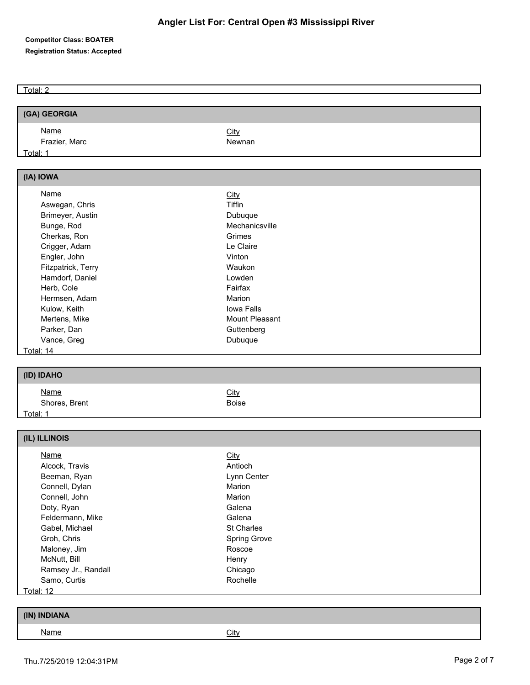## **Competitor Class: BOATER Registration Status: Accepted**

Total: 2

| (GA) GEORGIA                        |                |  |
|-------------------------------------|----------------|--|
| Name                                | <b>City</b>    |  |
| Frazier, Marc                       | Newnan         |  |
| Total: 1                            |                |  |
|                                     |                |  |
| (IA) IOWA                           |                |  |
| <b>Name</b>                         | <b>City</b>    |  |
| Aswegan, Chris                      | Tiffin         |  |
| Brimeyer, Austin                    | Dubuque        |  |
| Bunge, Rod                          | Mechanicsville |  |
| Cherkas, Ron                        | Grimes         |  |
| Crigger, Adam                       | Le Claire      |  |
| Engler, John                        | Vinton         |  |
| Fitzpatrick, Terry                  | Waukon         |  |
| Hamdorf, Daniel                     | Lowden         |  |
| Herb, Cole                          | Fairfax        |  |
| Hermsen, Adam                       | Marion         |  |
| Kulow, Keith                        | Iowa Falls     |  |
| Mertens, Mike                       | Mount Pleasant |  |
| Parker, Dan                         | Guttenberg     |  |
| Vance, Greg                         | Dubuque        |  |
| Total: 14                           |                |  |
|                                     |                |  |
| (ID) IDAHO                          |                |  |
| <b>Name</b>                         | City           |  |
| Shores, Brent                       | <b>Boise</b>   |  |
| <u>Total: 1</u>                     |                |  |
|                                     |                |  |
| (IL) ILLINOIS                       |                |  |
| <b>Name</b>                         | <b>City</b>    |  |
| Alcock, Travis                      | Antioch        |  |
| Beeman, Ryan                        | Lynn Center    |  |
| Connell, Dylan                      | Marion         |  |
| Connell, John                       | Marion         |  |
| Doty, Ryan                          | Galena         |  |
| Feldermann, Mike                    | Galena         |  |
| Gabel, Michael                      | St Charles     |  |
| Groh, Chris                         | Spring Grove   |  |
| Maloney, Jim                        | Roscoe         |  |
| McNutt, Bill<br>Ramsey Jr., Randall | Henry          |  |
|                                     | Chicago        |  |
|                                     |                |  |
| Samo, Curtis<br><b>Total: 12</b>    | Rochelle       |  |

| <b>INDIANA</b><br>(1N) |             |
|------------------------|-------------|
| <u>Name</u>            | <b>City</b> |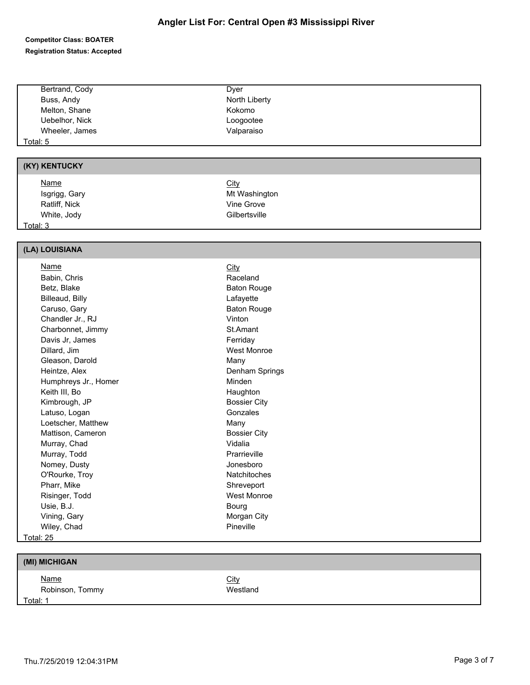#### **Competitor Class: BOATER Registration Status: Accepted**

|          | Bertrand, Cody | Dyer          |
|----------|----------------|---------------|
|          | Buss, Andy     | North Liberty |
|          | Melton, Shane  | Kokomo        |
|          | Uebelhor, Nick | Loogootee     |
|          | Wheeler, James | Valparaiso    |
| Total: 5 |                |               |

# **(KY) KENTUCKY**

| <u>Name</u>   | <b>City</b>   |  |
|---------------|---------------|--|
| Isgrigg, Gary | Mt Washington |  |
| Ratliff, Nick | Vine Grove    |  |
| White, Jody   | Gilbertsville |  |
| Total: 3      |               |  |

#### **(LA) LOUISIANA**

| Name                 | City                |
|----------------------|---------------------|
| Babin, Chris         | Raceland            |
| Betz, Blake          | <b>Baton Rouge</b>  |
| Billeaud, Billy      | Lafayette           |
| Caruso, Gary         | <b>Baton Rouge</b>  |
| Chandler Jr., RJ     | Vinton              |
| Charbonnet, Jimmy    | St.Amant            |
| Davis Jr, James      | Ferriday            |
| Dillard, Jim         | West Monroe         |
| Gleason, Darold      | Many                |
| Heintze, Alex        | Denham Springs      |
| Humphreys Jr., Homer | Minden              |
| Keith III, Bo        | Haughton            |
| Kimbrough, JP        | <b>Bossier City</b> |
| Latuso, Logan        | Gonzales            |
| Loetscher, Matthew   | Many                |
| Mattison, Cameron    | <b>Bossier City</b> |
| Murray, Chad         | Vidalia             |
| Murray, Todd         | Prarrieville        |
| Nomey, Dusty         | Jonesboro           |
| O'Rourke, Troy       | <b>Natchitoches</b> |
| Pharr, Mike          | Shreveport          |
| Risinger, Todd       | West Monroe         |
| Usie, B.J.           | Bourg               |
| Vining, Gary         | Morgan City         |
| Wiley, Chad          | Pineville           |
| Total: 25            |                     |

## **(MI) MICHIGAN**

| Name            | <u>City</u> |
|-----------------|-------------|
| Robinson, Tommy | We:         |
| Total: 1        |             |

Westland

#### Thu.7/25/2019 12:04:31PM Page 3 of 7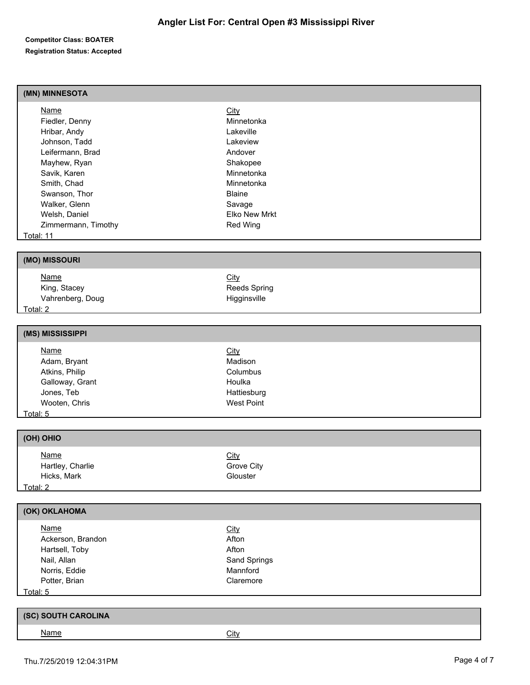#### **Competitor Class: BOATER Registration Status: Accepted**

## **(MN) MINNESOTA**

| Name                | <b>City</b>          |  |
|---------------------|----------------------|--|
| Fiedler, Denny      | Minnetonka           |  |
| Hribar, Andy        | Lakeville            |  |
| Johnson, Tadd       | Lakeview             |  |
| Leifermann, Brad    | Andover              |  |
| Mayhew, Ryan        | Shakopee             |  |
| Savik, Karen        | Minnetonka           |  |
| Smith, Chad         | Minnetonka           |  |
| Swanson, Thor       | <b>Blaine</b>        |  |
| Walker, Glenn       | Savage               |  |
| Welsh, Daniel       | <b>Elko New Mrkt</b> |  |
| Zimmermann, Timothy | Red Wing             |  |
| Total: 11           |                      |  |

## **(MO) MISSOURI**

| <u>Name</u>      | <u>City</u>  |  |
|------------------|--------------|--|
| King, Stacey     | Reeds Spring |  |
| Vahrenberg, Doug | Higginsville |  |
| Total: 2         |              |  |

## **(MS) MISSISSIPPI**

| <u>Name</u>     | <b>City</b>       |  |
|-----------------|-------------------|--|
| Adam, Bryant    | Madison           |  |
| Atkins, Philip  | Columbus          |  |
| Galloway, Grant | Houlka            |  |
| Jones, Teb      | Hattiesburg       |  |
| Wooten, Chris   | <b>West Point</b> |  |
| Total: 5        |                   |  |

## **(OH) OHIO**

| <b>Name</b>      | <b>City</b> |  |
|------------------|-------------|--|
| Hartley, Charlie | Grove City  |  |
| Hicks, Mark      | Glouster    |  |
| Total: 2         |             |  |

# **(OK) OKLAHOMA**

| <b>Name</b>       | <u>City</u>  |  |
|-------------------|--------------|--|
| Ackerson, Brandon | Afton        |  |
| Hartsell, Toby    | Afton        |  |
| Nail, Allan       | Sand Springs |  |
| Norris, Eddie     | Mannford     |  |
| Potter, Brian     | Claremore    |  |
| Total: 5          |              |  |

| <b>I SOUTH CAROLINA</b><br>(SC) |      |  |
|---------------------------------|------|--|
| <u>Name</u>                     | City |  |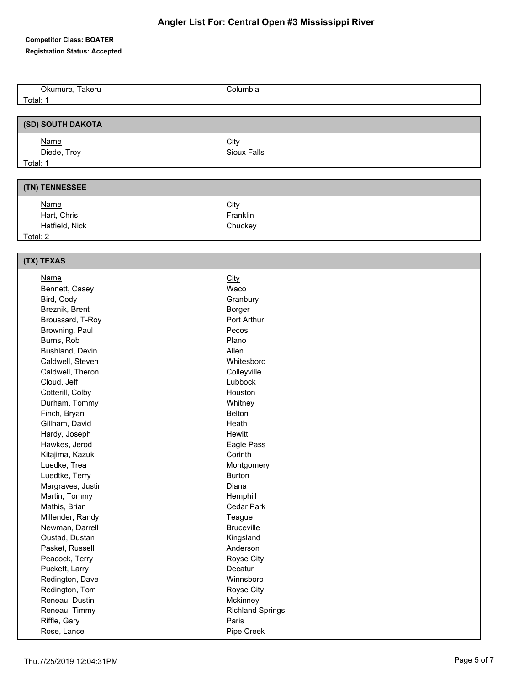#### **Competitor Class: BOATER**

**Registration Status: Accepted**

Okumura, Takeru Columbia Total: 1 **(SD) SOUTH DAKOTA** Name City Diede, Troy **Sioux Falls** Total: 1 **(TN) TENNESSEE** Name City Hart, Chris **Franklin** Hatfield, Nick Chuckey Total: 2 **(TX) TEXAS** Name City Bennett, Casey Waco Bird, Cody Granbury Breznik, Brent Borger Broussard, T-Roy **Port Arthur** Browning, Paul Pecos Burns, Rob **Plano** Bushland, Devin Allen Caldwell, Steven Whitesboro Caldwell, Theron Colleyville Cloud, Jeff Lubbock Cotterill, Colby **Houston** Durham, Tommy Whitney Finch, Bryan Belton Belton Gillham, David **Heath** Heath Hardy, Joseph **Hewitt** Hawkes, Jerod **Eagle Pass** Kitajima, Kazuki **Corinth** Luedke, Trea **Montgomery** Luedtke, Terry **Burton** Burton Margraves, Justin **Diana** Martin, Tommy **Hemphill** Mathis, Brian Cedar Park Millender, Randy Teague Newman, Darrell Bruceville Oustad, Dustan Kingsland Pasket, Russell **Anderson** Peacock, Terry **Royse City** Puckett, Larry **Decatur** Decatur Redington, Dave Winnsboro Redington, Tom Royse City Reneau, Dustin **Mckinney** Mckinney Reneau, Timmy Richland Springs Riffle, Gary **Paris** Rose, Lance **Pipe Creek**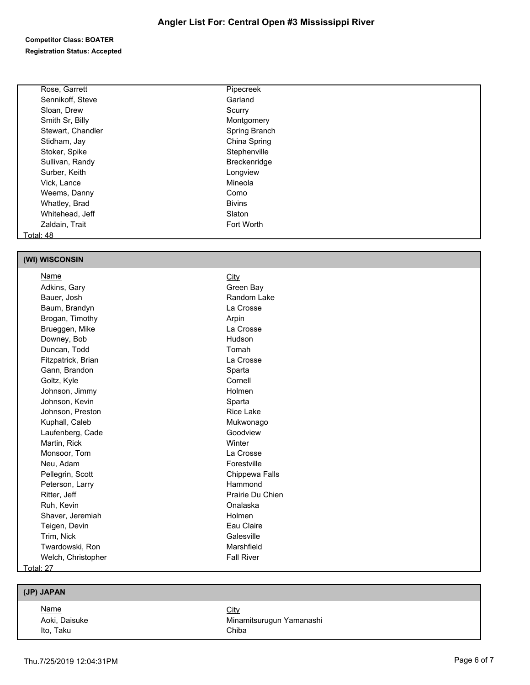## **Competitor Class: BOATER Registration Status: Accepted**

| Rose, Garrett     | Pipecreek     |  |
|-------------------|---------------|--|
| Sennikoff, Steve  | Garland       |  |
| Sloan, Drew       | Scurry        |  |
| Smith Sr, Billy   | Montgomery    |  |
| Stewart, Chandler | Spring Branch |  |
| Stidham, Jay      | China Spring  |  |
| Stoker, Spike     | Stephenville  |  |
| Sullivan, Randy   | Breckenridge  |  |
| Surber, Keith     | Longview      |  |
| Vick, Lance       | Mineola       |  |
| Weems, Danny      | Como          |  |
| Whatley, Brad     | <b>Bivins</b> |  |
| Whitehead, Jeff   | Slaton        |  |
| Zaldain, Trait    | Fort Worth    |  |
| Total: 48         |               |  |

## **(WI) WISCONSIN**

| Name               | City              |
|--------------------|-------------------|
| Adkins, Gary       | Green Bay         |
| Bauer, Josh        | Random Lake       |
| Baum, Brandyn      | La Crosse         |
| Brogan, Timothy    | Arpin             |
| Brueggen, Mike     | La Crosse         |
| Downey, Bob        | Hudson            |
| Duncan, Todd       | Tomah             |
| Fitzpatrick, Brian | La Crosse         |
| Gann, Brandon      | Sparta            |
| Goltz, Kyle        | Cornell           |
| Johnson, Jimmy     | Holmen            |
| Johnson, Kevin     | Sparta            |
| Johnson, Preston   | <b>Rice Lake</b>  |
| Kuphall, Caleb     | Mukwonago         |
| Laufenberg, Cade   | Goodview          |
| Martin, Rick       | Winter            |
| Monsoor, Tom       | La Crosse         |
| Neu, Adam          | Forestville       |
| Pellegrin, Scott   | Chippewa Falls    |
| Peterson, Larry    | Hammond           |
| Ritter, Jeff       | Prairie Du Chien  |
| Ruh, Kevin         | Onalaska          |
| Shaver, Jeremiah   | Holmen            |
| Teigen, Devin      | Eau Claire        |
| Trim, Nick         | Galesville        |
| Twardowski, Ron    | Marshfield        |
| Welch, Christopher | <b>Fall River</b> |
| Total: 27          |                   |

## **(JP) JAPAN**

| <u>Name</u>   | <u>City</u>              |
|---------------|--------------------------|
| Aoki, Daisuke | Minamitsurugun Yamanashi |
| Ito, Taku     | Chiba                    |